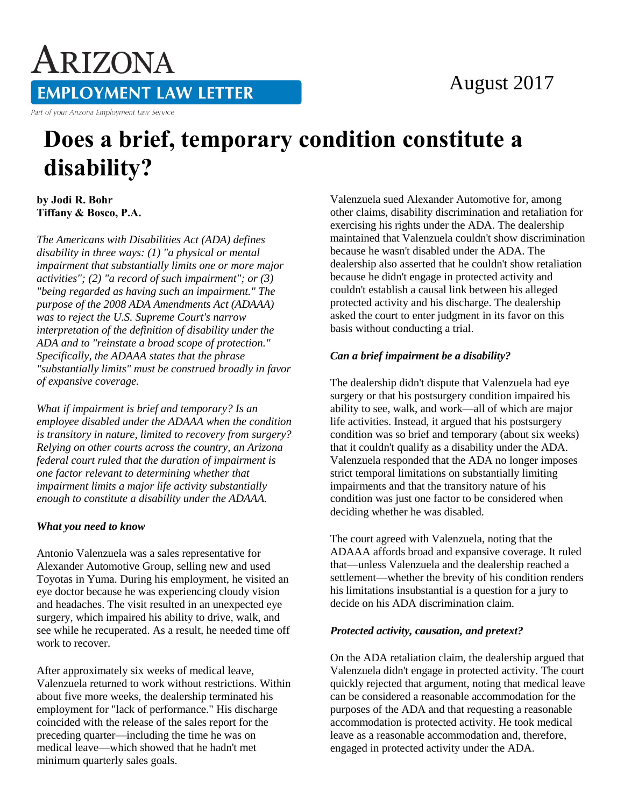## August 2017

ARIZONA **EMPLOYMENT LAW LETTER** Part of your Arizona Employment Law Service

# **Does a brief, temporary condition constitute a disability?**

**by Jodi R. Bohr Tiffany & Bosco, P.A.** 

*The Americans with Disabilities Act (ADA) defines disability in three ways: (1) "a physical or mental impairment that substantially limits one or more major activities"; (2) "a record of such impairment"; or (3) "being regarded as having such an impairment." The purpose of the 2008 ADA Amendments Act (ADAAA) was to reject the U.S. Supreme Court's narrow interpretation of the definition of disability under the ADA and to "reinstate a broad scope of protection." Specifically, the ADAAA states that the phrase "substantially limits" must be construed broadly in favor of expansive coverage.* 

*What if impairment is brief and temporary? Is an employee disabled under the ADAAA when the condition is transitory in nature, limited to recovery from surgery? Relying on other courts across the country, an Arizona federal court ruled that the duration of impairment is one factor relevant to determining whether that impairment limits a major life activity substantially enough to constitute a disability under the ADAAA.*

#### *What you need to know*

Antonio Valenzuela was a sales representative for Alexander Automotive Group, selling new and used Toyotas in Yuma. During his employment, he visited an eye doctor because he was experiencing cloudy vision and headaches. The visit resulted in an unexpected eye surgery, which impaired his ability to drive, walk, and see while he recuperated. As a result, he needed time off work to recover.

After approximately six weeks of medical leave, Valenzuela returned to work without restrictions. Within about five more weeks, the dealership terminated his employment for "lack of performance." His discharge coincided with the release of the sales report for the preceding quarter—including the time he was on medical leave—which showed that he hadn't met minimum quarterly sales goals.

Valenzuela sued Alexander Automotive for, among other claims, disability discrimination and retaliation for exercising his rights under the ADA. The dealership maintained that Valenzuela couldn't show discrimination because he wasn't disabled under the ADA. The dealership also asserted that he couldn't show retaliation because he didn't engage in protected activity and couldn't establish a causal link between his alleged protected activity and his discharge. The dealership asked the court to enter judgment in its favor on this basis without conducting a trial.

### *Can a brief impairment be a disability?*

The dealership didn't dispute that Valenzuela had eye surgery or that his postsurgery condition impaired his ability to see, walk, and work—all of which are major life activities. Instead, it argued that his postsurgery condition was so brief and temporary (about six weeks) that it couldn't qualify as a disability under the ADA. Valenzuela responded that the ADA no longer imposes strict temporal limitations on substantially limiting impairments and that the transitory nature of his condition was just one factor to be considered when deciding whether he was disabled.

The court agreed with Valenzuela, noting that the ADAAA affords broad and expansive coverage. It ruled that—unless Valenzuela and the dealership reached a settlement—whether the brevity of his condition renders his limitations insubstantial is a question for a jury to decide on his ADA discrimination claim.

#### *Protected activity, causation, and pretext?*

On the ADA retaliation claim, the dealership argued that Valenzuela didn't engage in protected activity. The court quickly rejected that argument, noting that medical leave can be considered a reasonable accommodation for the purposes of the ADA and that requesting a reasonable accommodation is protected activity. He took medical leave as a reasonable accommodation and, therefore, engaged in protected activity under the ADA.